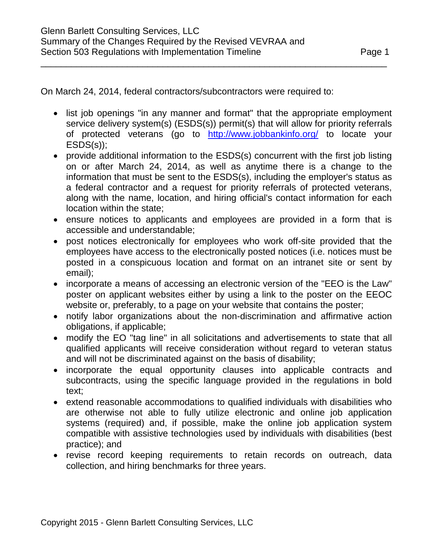On March 24, 2014, federal contractors/subcontractors were required to:

• list job openings "in any manner and format" that the appropriate employment service delivery system(s) (ESDS(s)) permit(s) that will allow for priority referrals of protected veterans (go to <http://www.jobbankinfo.org/> to locate your ESDS(s));

\_\_\_\_\_\_\_\_\_\_\_\_\_\_\_\_\_\_\_\_\_\_\_\_\_\_\_\_\_\_\_\_\_\_\_\_\_\_\_\_\_\_\_\_\_\_\_\_\_\_\_\_\_\_\_\_\_\_\_\_\_\_\_\_\_\_\_\_

- provide additional information to the ESDS(s) concurrent with the first job listing on or after March 24, 2014, as well as anytime there is a change to the information that must be sent to the ESDS(s), including the employer's status as a federal contractor and a request for priority referrals of protected veterans, along with the name, location, and hiring official's contact information for each location within the state;
- ensure notices to applicants and employees are provided in a form that is accessible and understandable;
- post notices electronically for employees who work off-site provided that the employees have access to the electronically posted notices (i.e. notices must be posted in a conspicuous location and format on an intranet site or sent by email);
- incorporate a means of accessing an electronic version of the "EEO is the Law" poster on applicant websites either by using a link to the poster on the EEOC website or, preferably, to a page on your website that contains the poster;
- notify labor organizations about the non-discrimination and affirmative action obligations, if applicable;
- modify the EO "tag line" in all solicitations and advertisements to state that all qualified applicants will receive consideration without regard to veteran status and will not be discriminated against on the basis of disability;
- incorporate the equal opportunity clauses into applicable contracts and subcontracts, using the specific language provided in the regulations in bold text;
- extend reasonable accommodations to qualified individuals with disabilities who are otherwise not able to fully utilize electronic and online job application systems (required) and, if possible, make the online job application system compatible with assistive technologies used by individuals with disabilities (best practice); and
- revise record keeping requirements to retain records on outreach, data collection, and hiring benchmarks for three years.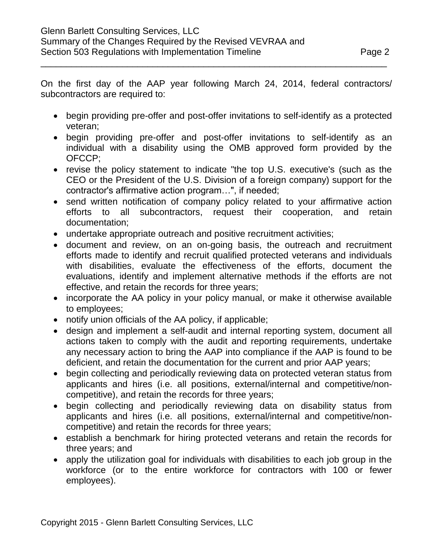On the first day of the AAP year following March 24, 2014, federal contractors/ subcontractors are required to:

\_\_\_\_\_\_\_\_\_\_\_\_\_\_\_\_\_\_\_\_\_\_\_\_\_\_\_\_\_\_\_\_\_\_\_\_\_\_\_\_\_\_\_\_\_\_\_\_\_\_\_\_\_\_\_\_\_\_\_\_\_\_\_\_\_\_\_\_

- begin providing pre-offer and post-offer invitations to self-identify as a protected veteran;
- begin providing pre-offer and post-offer invitations to self-identify as an individual with a disability using the OMB approved form provided by the OFCCP;
- revise the policy statement to indicate "the top U.S. executive's (such as the CEO or the President of the U.S. Division of a foreign company) support for the contractor's affirmative action program…", if needed;
- send written notification of company policy related to your affirmative action efforts to all subcontractors, request their cooperation, and retain documentation;
- undertake appropriate outreach and positive recruitment activities;
- document and review, on an on-going basis, the outreach and recruitment efforts made to identify and recruit qualified protected veterans and individuals with disabilities, evaluate the effectiveness of the efforts, document the evaluations, identify and implement alternative methods if the efforts are not effective, and retain the records for three years;
- incorporate the AA policy in your policy manual, or make it otherwise available to employees;
- notify union officials of the AA policy, if applicable;
- design and implement a self-audit and internal reporting system, document all actions taken to comply with the audit and reporting requirements, undertake any necessary action to bring the AAP into compliance if the AAP is found to be deficient, and retain the documentation for the current and prior AAP years;
- begin collecting and periodically reviewing data on protected veteran status from applicants and hires (i.e. all positions, external/internal and competitive/noncompetitive), and retain the records for three years;
- begin collecting and periodically reviewing data on disability status from applicants and hires (i.e. all positions, external/internal and competitive/noncompetitive) and retain the records for three years;
- establish a benchmark for hiring protected veterans and retain the records for three years; and
- apply the utilization goal for individuals with disabilities to each job group in the workforce (or to the entire workforce for contractors with 100 or fewer employees).